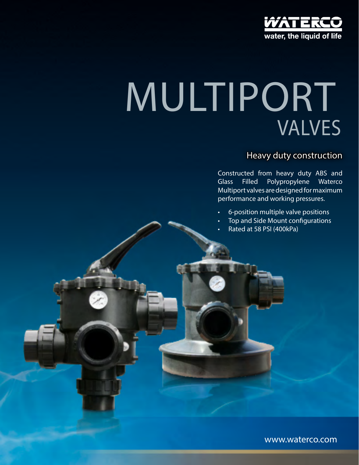

# VALVES MULTIPORT

## Heavy duty construction

Constructed from heavy duty ABS and Glass Filled Polypropylene Waterco Multiport valves are designed for maximum performance and working pressures.

- 6-position multiple valve positions
- Top and Side Mount configurations
- Rated at 58 PSI (400kPa)

www.waterco.com